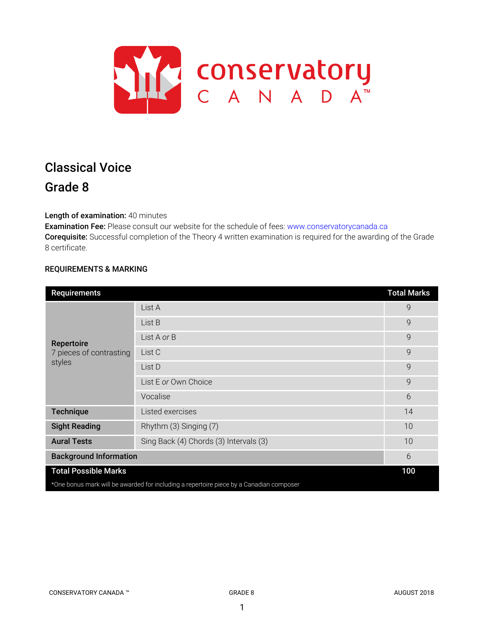

# Classical Voice Grade 8

Length of examination: 40 minutes

Examination Fee: Please consult our website for the schedule of fees: www.conservatorycanada.ca Corequisite: Successful completion of the Theory 4 written examination is required for the awarding of the Grade 8 certificate.

## REQUIREMENTS & MARKING

| <b>Requirements</b>                                                                     |                                        | <b>Total Marks</b> |  |
|-----------------------------------------------------------------------------------------|----------------------------------------|--------------------|--|
| Repertoire<br>7 pieces of contrasting<br>styles                                         | List A                                 | 9                  |  |
|                                                                                         | List B                                 | 9                  |  |
|                                                                                         | List A or B                            | 9                  |  |
|                                                                                         | List C                                 | 9                  |  |
|                                                                                         | List D                                 | 9                  |  |
|                                                                                         | List E or Own Choice                   | 9                  |  |
|                                                                                         | Vocalise                               | 6                  |  |
| <b>Technique</b>                                                                        | Listed exercises                       | 14                 |  |
| <b>Sight Reading</b>                                                                    | Rhythm (3) Singing (7)                 | 10                 |  |
| <b>Aural Tests</b>                                                                      | Sing Back (4) Chords (3) Intervals (3) | 10                 |  |
| <b>Background Information</b>                                                           |                                        | 6                  |  |
| <b>Total Possible Marks</b>                                                             |                                        | 100                |  |
| *One bonus mark will be awarded for including a repertoire piece by a Canadian composer |                                        |                    |  |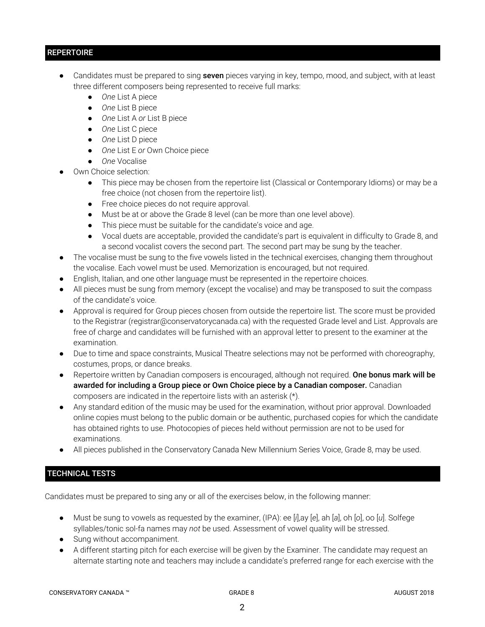## **REPERTOIRE**

- Candidates must be prepared to sing seven pieces varying in key, tempo, mood, and subject, with at least three different composers being represented to receive full marks:
	- *One* List A piece
	- *One* List B piece
	- *One* List A *or* List B piece
	- *One* List C piece
	- *One* List D piece
	- *One* List E *or* Own Choice piece
	- *One* Vocalise
- Own Choice selection:
	- This piece may be chosen from the repertoire list (Classical or Contemporary Idioms) or may be a free choice (not chosen from the repertoire list).
	- Free choice pieces do not require approval.
	- Must be at or above the Grade 8 level (can be more than one level above).
	- This piece must be suitable for the candidate's voice and age.
	- Vocal duets are acceptable, provided the candidate's part is equivalent in difficulty to Grade 8, and a second vocalist covers the second part. The second part may be sung by the teacher.
- The vocalise must be sung to the five vowels listed in the technical exercises, changing them throughout the vocalise. Each vowel must be used. Memorization is encouraged, but not required.
- English, Italian, and one other language must be represented in the repertoire choices.
- All pieces must be sung from memory (except the vocalise) and may be transposed to suit the compass of the candidate's voice.
- Approval is required for Group pieces chosen from outside the repertoire list. The score must be provided to the Registrar (registrar@conservatorycanada.ca) with the requested Grade level and List. Approvals are free of charge and candidates will be furnished with an approval letter to present to the examiner at the examination.
- Due to time and space constraints, Musical Theatre selections may not be performed with choreography, costumes, props, or dance breaks.
- Repertoire written by Canadian composers is encouraged, although not required. One bonus mark will be awarded for including a Group piece or Own Choice piece by a Canadian composer. Canadian composers are indicated in the repertoire lists with an asterisk (\*).
- Any standard edition of the music may be used for the examination, without prior approval. Downloaded online copies must belong to the public domain or be authentic, purchased copies for which the candidate has obtained rights to use. Photocopies of pieces held without permission are not to be used for examinations.
- All pieces published in the Conservatory Canada New Millennium Series Voice, Grade 8, may be used.

## TECHNICAL TESTS

Candidates must be prepared to sing any or all of the exercises below, in the following manner:

- Must be sung to vowels as requested by the examiner, (IPA): ee [*i*],ay [*e*], ah [*a*], oh [*o*], oo [*u*]. Solfege syllables/tonic sol-fa names may *not* be used. Assessment of vowel quality will be stressed.
- Sung without accompaniment.
- A different starting pitch for each exercise will be given by the Examiner. The candidate may request an alternate starting note and teachers may include a candidate's preferred range for each exercise with the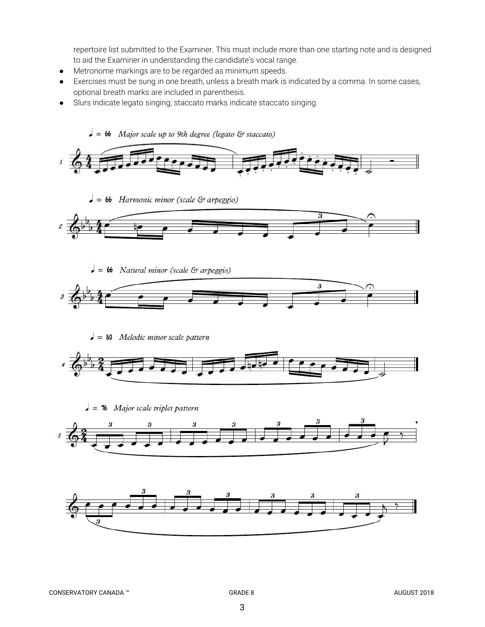repertoire list submitted to the Examiner. This must include more than one starting note and is designed to aid the Examiner in understanding the candidate's vocal range.

- Metronome markings are to be regarded as minimum speeds.
- Exercises must be sung in one breath, unless a breath mark is indicated by a comma. In some cases, optional breath marks are included in parenthesis.
- Slurs indicate legato singing; staccato marks indicate staccato singing.



 $\bullet$  =  $\bullet$  Harmonic minor (scale & arpeggio)



 $\bullet = 66$  Natural minor (scale & arpeggio)



 $\bullet$  = 80 Melodic minor scale pattern



 $\bullet$  = 76 Major scale triplet pattern



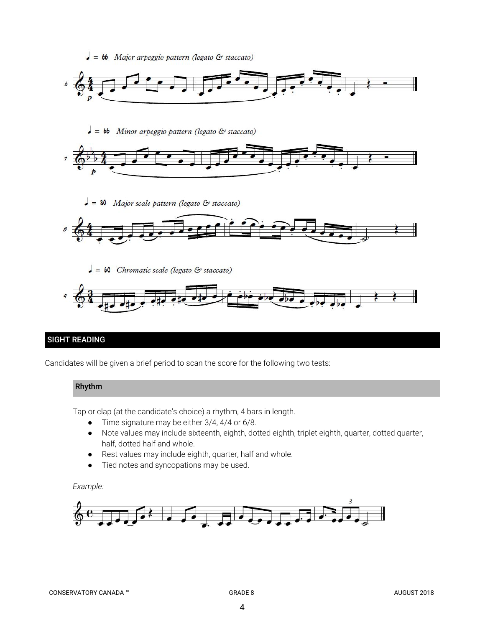



 $\bullet$  =  $\bullet$ b Minor arpeggio pattern (legato & staccato)



 $\bullet$  = 80 Major scale pattern (legato & staccato)



 $\bullet = 60$  Chromatic scale (legato & staccato)



# SIGHT READING

Candidates will be given a brief period to scan the score for the following two tests:

## Rhythm

Tap or clap (at the candidate's choice) a rhythm, 4 bars in length.

- Time signature may be either 3/4, 4/4 or 6/8.
- Note values may include sixteenth, eighth, dotted eighth, triplet eighth, quarter, dotted quarter, half, dotted half and whole.
- Rest values may include eighth, quarter, half and whole.
- Tied notes and syncopations may be used.

#### *Example:*

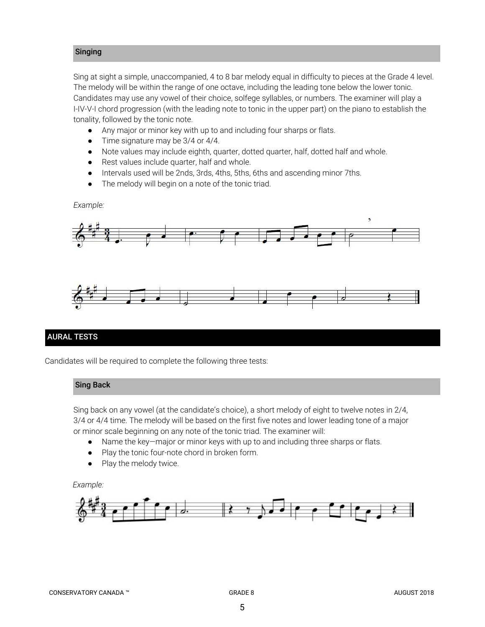## Singing

Sing at sight a simple, unaccompanied, 4 to 8 bar melody equal in difficulty to pieces at the Grade 4 level. The melody will be within the range of one octave, including the leading tone below the lower tonic. Candidates may use any vowel of their choice, solfege syllables, or numbers. The examiner will play a I-IV-V-I chord progression (with the leading note to tonic in the upper part) on the piano to establish the tonality, followed by the tonic note.

- *●* Any major or minor key with up to and including four sharps or flats.
- *●* Time signature may be 3/4 or 4/4.
- Note values may include eighth, quarter, dotted quarter, half, dotted half and whole.
- Rest values include quarter, half and whole.
- Intervals used will be 2nds, 3rds, 4ths, 5ths, 6ths and ascending minor 7ths.
- The melody will begin on a note of the tonic triad.

*Example:*





## AURAL TESTS

Candidates will be required to complete the following three tests:

#### Sing Back

Sing back on any vowel (at the candidate's choice), a short melody of eight to twelve notes in 2/4, 3/4 or 4/4 time. The melody will be based on the first five notes and lower leading tone of a major or minor scale beginning on any note of the tonic triad. The examiner will:

- Name the key—major or minor keys with up to and including three sharps or flats.
- Play the tonic four-note chord in broken form.
- Play the melody twice.

#### *Example:*

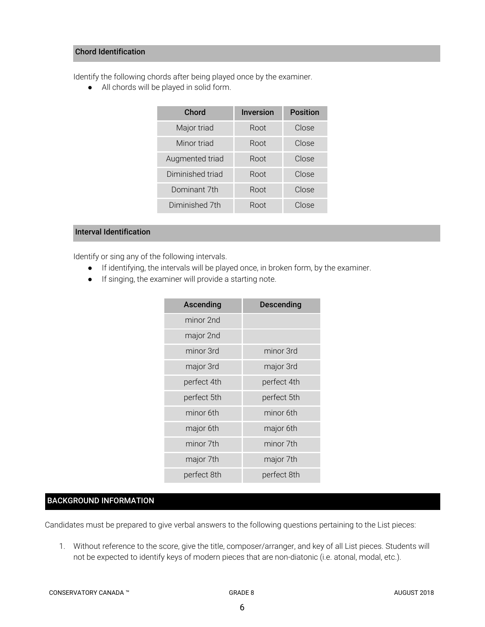#### Chord Identification

Identify the following chords after being played once by the examiner.

● All chords will be played in solid form.

| Chord            | <b>Inversion</b> | <b>Position</b> |
|------------------|------------------|-----------------|
| Major triad      | Root             | Close           |
| Minor triad      | Root             | Close           |
| Augmented triad  | Root             | Close           |
| Diminished triad | Root             | Close           |
| Dominant 7th     | Root             | Close           |
| Diminished 7th   | Root             | Close           |

## Interval Identification

Identify or sing any of the following intervals.

- If identifying, the intervals will be played once, in broken form, by the examiner.
- If singing, the examiner will provide a starting note.

| Ascending   | <b>Descending</b> |
|-------------|-------------------|
| minor 2nd   |                   |
| major 2nd   |                   |
| minor 3rd   | minor 3rd         |
| major 3rd   | major 3rd         |
| perfect 4th | perfect 4th       |
| perfect 5th | perfect 5th       |
| minor 6th   | minor 6th         |
| major 6th   | major 6th         |
| minor 7th   | minor 7th         |
| major 7th   | major 7th         |
| perfect 8th | perfect 8th       |

## BACKGROUND INFORMATION

Candidates must be prepared to give verbal answers to the following questions pertaining to the List pieces:

1. Without reference to the score, give the title, composer/arranger, and key of all List pieces. Students will not be expected to identify keys of modern pieces that are non-diatonic (i.e. atonal, modal, etc.).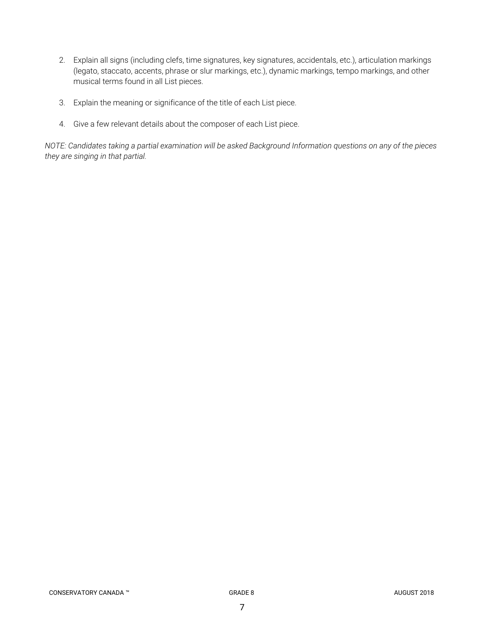- 2. Explain all signs (including clefs, time signatures, key signatures, accidentals, etc.), articulation markings (legato, staccato, accents, phrase or slur markings, etc.), dynamic markings, tempo markings, and other musical terms found in all List pieces.
- 3. Explain the meaning or significance of the title of each List piece.
- 4. Give a few relevant details about the composer of each List piece.

NOTE: Candidates taking a partial examination will be asked Background Information questions on any of the pieces *they are singing in that partial.*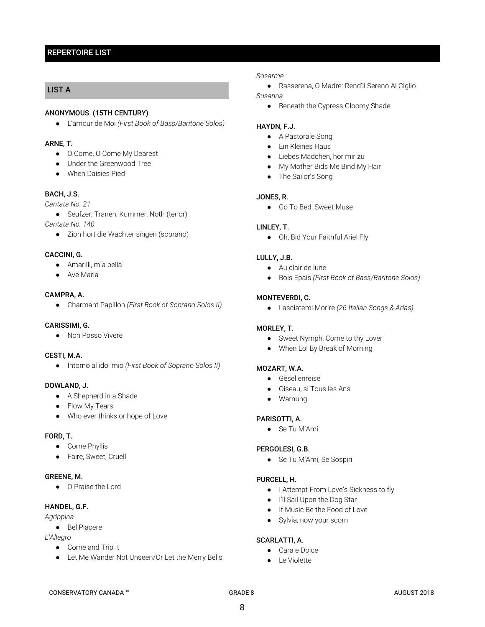## REPERTOIRE LIST

## LIST A

#### ANONYMOUS (15TH CENTURY)

● L'amour de Moi *(First Book of Bass/Baritone Solos)*

## ARNE, T.

- O Come, O Come My Dearest
- Under the Greenwood Tree
- When Daisies Pied

#### BACH, J.S.

*Cantata No. 21*

● Seufzer, Tranen, Kummer, Noth (tenor)

*Cantata No. 140*

● Zion hort die Wachter singen (soprano)

#### CACCINI, G.

- Amarilli, mia bella
- Ave Maria

#### CAMPRA, A.

● Charmant Papillon *(First Book of Soprano Solos II)*

#### CARISSIMI, G.

● Non Posso Vivere

#### CESTI, M.A.

● Intorno al idol mio *(First Book of Soprano Solos II)*

#### DOWLAND, J.

- A Shepherd in a Shade
- Flow My Tears
- Who ever thinks or hope of Love

#### FORD, T.

- Come Phyllis
- Faire, Sweet, Cruell

#### GREENE, M.

● O Praise the Lord

#### HANDEL, G.F.

*Agrippina*

● Bel Piacere

#### *L'Allegro*

- Come and Trip It
- Let Me Wander Not Unseen/Or Let the Merry Bells

#### *Sosarme*

● Rasserena, O Madre: Rend'il Sereno Al Ciglio

## *Susanna*

● Beneath the Cypress Gloomy Shade

#### HAYDN, F.J.

- A Pastorale Song
- Ein Kleines Haus
- Liebes Mädchen, hör mir zu
- My Mother Bids Me Bind My Hair
- The Sailor's Song

#### JONES, R.

● Go To Bed, Sweet Muse

#### LINLEY, T.

● Oh, Bid Your Faithful Ariel Fly

#### LULLY, J.B.

- Au clair de lune
- Bois Epais *(First Book of Bass/Baritone Solos)*

#### MONTEVERDI, C.

● Lasciatemi Morire *(26 Italian Songs & Arias)*

#### MORLEY, T.

- Sweet Nymph, Come to thy Lover
- When Lo! By Break of Morning

#### MOZART, W.A.

- Gesellenreise
- Oiseau, si Tous les Ans
- Warnung

## PARISOTTI, A.

● Se Tu M'Ami

#### PERGOLESI, G.B.

● Se Tu M'Ami, Se Sospiri

#### PURCELL, H.

- I Attempt From Love's Sickness to fly
- I'll Sail Upon the Dog Star
- If Music Be the Food of Love
- Sylvia, now your scorn

#### SCARLATTI, A.

- Cara e Dolce
- Le Violette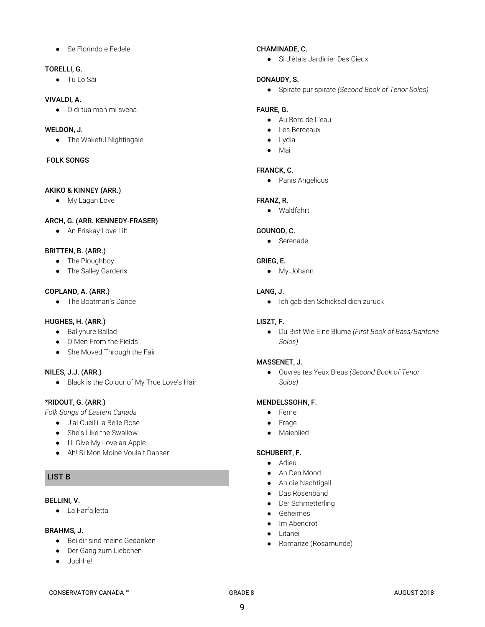● Se Florindo e Fedele

#### TORELLI, G.

● Tu Lo Sai

#### VIVALDI, A.

● O di tua man mi svena

## WELDON, J.

● The Wakeful Nightingale

## FOLK SONGS

## AKIKO & KINNEY (ARR.)

● My Lagan Love

## ARCH, G. (ARR. KENNEDY-FRASER)

● An Eriskay Love Lilt

## BRITTEN, B. (ARR.)

- The Ploughboy
- The Salley Gardens

## COPLAND, A. (ARR.)

● The Boatman's Dance

## HUGHES, H. (ARR.)

- Ballynure Ballad
- O Men From the Fields
- She Moved Through the Fair

## NILES, J.J. (ARR.)

● Black is the Colour of My True Love's Hair

## \*RIDOUT, G. (ARR.)

*Folk Songs of Eastern Canada*

- J'ai Cueilli la Belle Rose
- She's Like the Swallow
- I'll Give My Love an Apple
- Ah! Si Mon Moine Voulait Danser

## LIST B

#### BELLINI, V.

● La Farfalletta

## BRAHMS, J.

- Bei dir sind meine Gedanken
- Der Gang zum Liebchen
- Juchhe!

## CHAMINADE, C.

● Si J'étais Jardinier Des Cieux

## DONAUDY, S.

● Spirate pur spirate *(Second Book of Tenor Solos)*

## FAURE, G.

- Au Bord de L'eau
- Les Berceaux
- Lydia
- Mai

## FRANCK, C.

● Panis Angelicus

## FRANZ, R.

● Waldfahrt

## GOUNOD, C.

● Serenade

## GRIEG, E.

● My Johann

## LANG, J.

● Ich gab den Schicksal dich zurück

## LISZT, F.

● Du Bist Wie Eine Blume *(First Book of Bass/Baritone Solos)*

## MASSENET, J.

● Ouvres tes Yeux Bleus *(Second Book of Tenor Solos)*

## MENDELSSOHN, F.

- Ferne
- Frage
- Maienlied

## SCHUBERT, F.

- Adieu
- An Den Mond
- An die Nachtigall
- Das Rosenband
- Der Schmetterling
- Geheimes
- Im Abendrot
- Litanei
- Romanze (Rosamunde)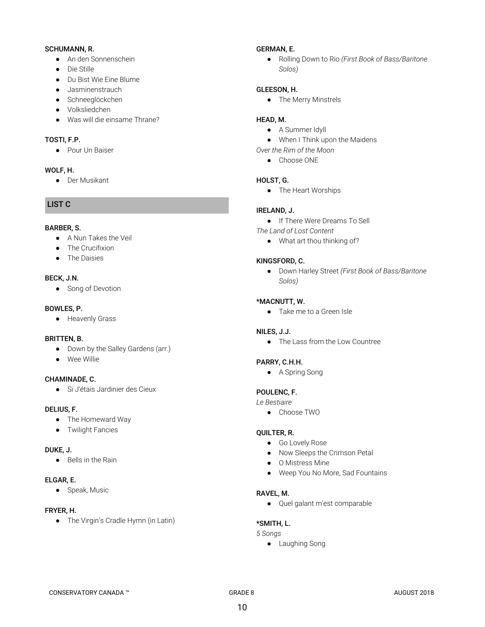#### SCHUMANN, R.

- An den Sonnenschein
- Die Stille
- Du Bist Wie Eine Blume
- Jasminenstrauch
- Schneeglöckchen
- Volksliedchen
- Was will die einsame Thrane?

#### TOSTI, F.P.

● Pour Un Baiser

#### WOLF, H.

● Der Musikant

## LIST C

#### BARBER, S.

- A Nun Takes the Veil
- The Crucifixion
- The Daisies

#### BECK, J.N.

● Song of Devotion

#### BOWLES, P.

● Heavenly Grass

#### BRITTEN, B.

- Down by the Salley Gardens (arr.)
- Wee Willie

## CHAMINADE, C.

● Si J'étais Jardinier des Cieux

## DELIUS, F.

- The Homeward Way
- Twilight Fancies

#### DUKE, J.

● Bells in the Rain

#### ELGAR, E.

● Speak, Music

## FRYER, H.

● The Virgin's Cradle Hymn (in Latin)

#### GERMAN, E.

● Rolling Down to Rio *(First Book of Bass/Baritone Solos)*

#### GLEESON, H.

● The Merry Minstrels

#### HEAD, M.

- A Summer Idyll
- When I Think upon the Maidens
- *Over the Rim of the Moon*
	- Choose ONE

#### HOLST, G.

● The Heart Worships

#### IRELAND, J.

- If There Were Dreams To Sell
- *The Land of Lost Content*
	- What art thou thinking of?

#### KINGSFORD, C.

● Down Harley Street *(First Book of Bass/Baritone Solos)*

#### \*MACNUTT, W.

● Take me to a Green Isle

## NILES, J.J.

● The Lass from the Low Countree

#### PARRY, C.H.H.

● A Spring Song

## POULENC, F.

- *Le Bestiaire*
	- Choose TWO

#### QUILTER, R.

- Go Lovely Rose
- Now Sleeps the Crimson Petal
- O Mistress Mine
- Weep You No More, Sad Fountains

#### RAVEL, M.

● Quel galant m'est comparable

#### \*SMITH, L.

*5 Songs*

● Laughing Song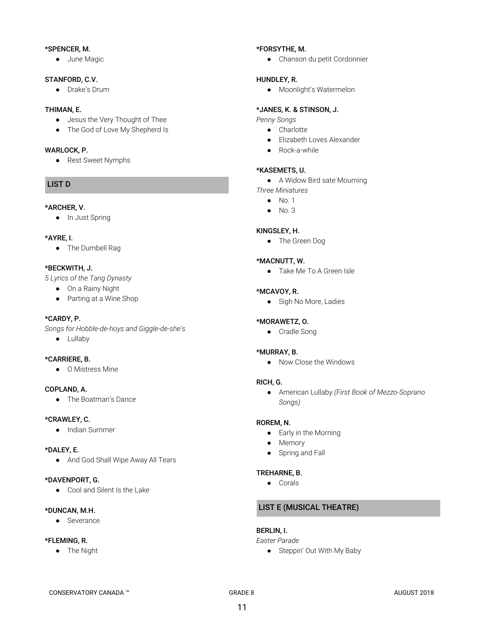#### \*SPENCER, M.

● June Magic

#### STANFORD, C.V.

● Drake's Drum

## THIMAN, E.

- Jesus the Very Thought of Thee
- The God of Love My Shepherd Is

#### WARLOCK, P.

● Rest Sweet Nymphs

#### LIST D

#### \*ARCHER, V.

● In Just Spring

#### \*AYRE, I.

● The Dumbell Rag

#### \*BECKWITH, J.

*5 Lyrics of the Tang Dynasty*

- On a Rainy Night
- Parting at a Wine Shop

#### \*CARDY, P.

*Songs for Hobble-de-hoys and Giggle-de-she's*

● Lullaby

#### \*CARRIERE, B.

● O Mistress Mine

#### COPLAND, A.

● The Boatman's Dance

#### \*CRAWLEY, C.

● Indian Summer

#### \*DALEY, E.

● And God Shall Wipe Away All Tears

#### \*DAVENPORT, G.

● Cool and Silent Is the Lake

#### \*DUNCAN, M.H.

● Severance

## \*FLEMING, R.

● The Night

## \*FORSYTHE, M.

● Chanson du petit Cordonnier

#### HUNDLEY, R.

● Moonlight's Watermelon

#### \*JANES, K. & STINSON, J.

*Penny Songs*

- Charlotte
- Elizabeth Loves Alexander
- Rock-a-while

#### \*KASEMETS, U.

● A Widow Bird sate Mourning

- *Three Miniatures*
	- $\bullet$  No. 1
	- No. 3

#### KINGSLEY, H.

● The Green Dog

#### \*MACNUTT, W.

● Take Me To A Green Isle

#### \*MCAVOY, R.

● Sigh No More, Ladies

#### \*MORAWETZ, O.

● Cradle Song

#### \*MURRAY, B.

● Now Close the Windows

#### RICH, G.

● American Lullaby *(First Book of Mezzo-Soprano Songs)*

#### ROREM, N.

- Early in the Morning
- Memory
- Spring and Fall

#### TREHARNE, B.

● Corals

# LIST E (MUSICAL THEATRE)

## BERLIN, I.

*Easter Parade*

● Steppin' Out With My Baby